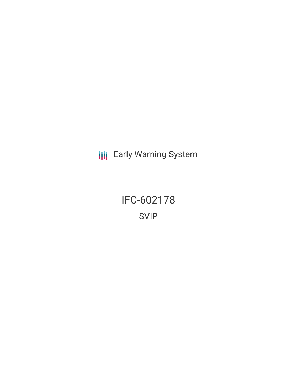**III** Early Warning System

IFC-602178 SVIP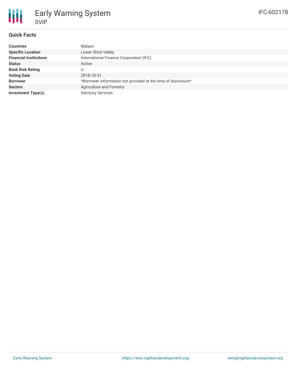# **Quick Facts**

| <b>Countries</b>              | Malawi                                                        |
|-------------------------------|---------------------------------------------------------------|
| <b>Specific Location</b>      | Lower Shire Valley                                            |
| <b>Financial Institutions</b> | International Finance Corporation (IFC)                       |
| <b>Status</b>                 | Active                                                        |
| <b>Bank Risk Rating</b>       | U                                                             |
| <b>Voting Date</b>            | 2018-10-31                                                    |
| <b>Borrower</b>               | *Borrower information not provided at the time of disclosure* |
| <b>Sectors</b>                | Agriculture and Forestry                                      |
| <b>Investment Type(s)</b>     | <b>Advisory Services</b>                                      |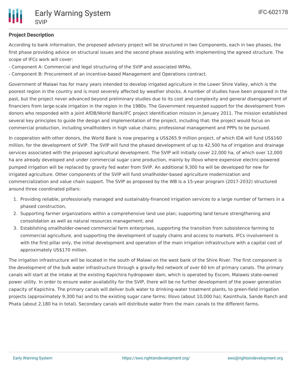

# **Project Description**

According to bank information, the proposed advisory project will be structured in two Components, each in two phases, the first phase providing advice on structural issues and the second phase assisting with implementing the agreed structure. The scope of IFCs work will cover:

- Component A: Commercial and legal structuring of the SVIP and associated WPAs.
- Component B: Procurement of an incentive-based Management and Operations contract.

Government of Malawi has for many years intended to develop irrigated agriculture in the Lower Shire Valley, which is the poorest region in the country and is most severely affected by weather shocks. A number of studies have been prepared in the past, but the project never advanced beyond preliminary studies due to its cost and complexity and general disengagement of financiers from large-scale irrigation in the region in the 1980s. The Government requested support for the development from donors who responded with a joint AfDB/World Bank/IFC project identification mission in January 2011. The mission established several key principles to guide the design and implementation of the project, including that: the project would focus on commercial production, including smallholders in high value chains; professional management and PPPs to be pursued.

In cooperation with other donors, the World Bank is now preparing a US\$265.9 million project, of which IDA will fund US\$160 million, for the development of SVIP. The SVIP will fund the phased development of up to 42,500 ha of irrigation and drainage services associated with the proposed agricultural development. The SVIP will initially cover 22,000 ha, of which over 12,000 ha are already developed and under commercial sugar cane production, mainly by Illovo where expensive electric-powered pumped irrigation will be replaced by gravity fed water from SVIP. An additional 9,300 ha will be developed for new for irrigated agriculture. Other components of the SVIP will fund smallholder-based agriculture modernization and commercialization and value chain support. The SVIP as proposed by the WB is a 15-year program (2017-2032) structured around three coordinated pillars:

- 1. Providing reliable, professionally managed and sustainably-financed irrigation services to a large number of farmers in a phased construction,
- 2. Supporting farmer organizations within a comprehensive land use plan; supporting land tenure strengthening and consolidation as well as natural resources management; and
- 3. Establishing smallholder-owned commercial farm enterprises, supporting the transition from subsistence farming to commercial agriculture, and supporting the development of supply chains and access to markets. IFCs involvement is with the first pillar only, the initial development and operation of the main irrigation infrastructure with a capital cost of approximately US\$170 million.

The irrigation infrastructure will be located in the south of Malawi on the west bank of the Shire River. The first component is the development of the bulk water infrastructure through a gravity-fed network of over 60 km of primary canals. The primary canals will start at the intake at the existing Kapichira hydropower dam, which is operated by Escom, Malawis state-owned power utility. In order to ensure water availability for the SVIP, there will be no further development of the power generation capacity of Kapichira. The primary canals will deliver bulk water to drinking-water treatment plants, to green-field irrigation projects (approximately 9,300 ha) and to the existing sugar cane farms: Illovo (about 10,000 ha); Kasinthula, Sande Ranch and Phata (about 2,180 ha in total). Secondary canals will distribute water from the main canals to the different farms.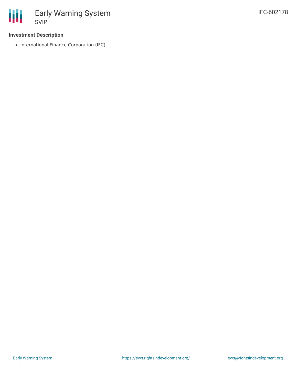

### **Investment Description**

• International Finance Corporation (IFC)